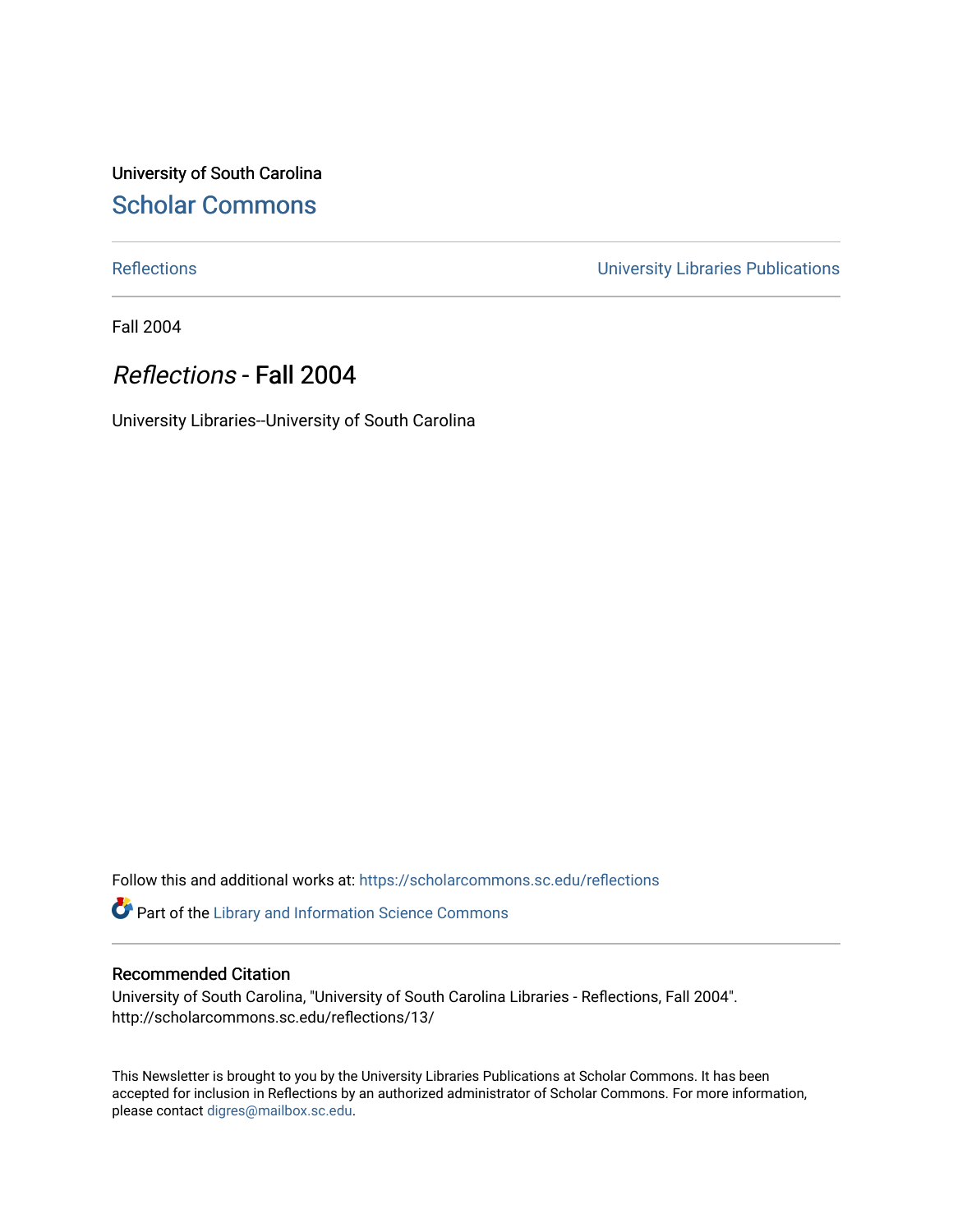University of South Carolina [Scholar Commons](https://scholarcommons.sc.edu/) 

[Reflections](https://scholarcommons.sc.edu/reflections) [University Libraries Publications](https://scholarcommons.sc.edu/lib_pubs) 

Fall 2004

### Reflections - Fall 2004

University Libraries--University of South Carolina

Follow this and additional works at: [https://scholarcommons.sc.edu/reflections](https://scholarcommons.sc.edu/reflections?utm_source=scholarcommons.sc.edu%2Freflections%2F13&utm_medium=PDF&utm_campaign=PDFCoverPages) 

Part of the [Library and Information Science Commons](http://network.bepress.com/hgg/discipline/1018?utm_source=scholarcommons.sc.edu%2Freflections%2F13&utm_medium=PDF&utm_campaign=PDFCoverPages) 

#### Recommended Citation

University of South Carolina, "University of South Carolina Libraries - Reflections, Fall 2004". http://scholarcommons.sc.edu/reflections/13/

This Newsletter is brought to you by the University Libraries Publications at Scholar Commons. It has been accepted for inclusion in Reflections by an authorized administrator of Scholar Commons. For more information, please contact [digres@mailbox.sc.edu](mailto:digres@mailbox.sc.edu).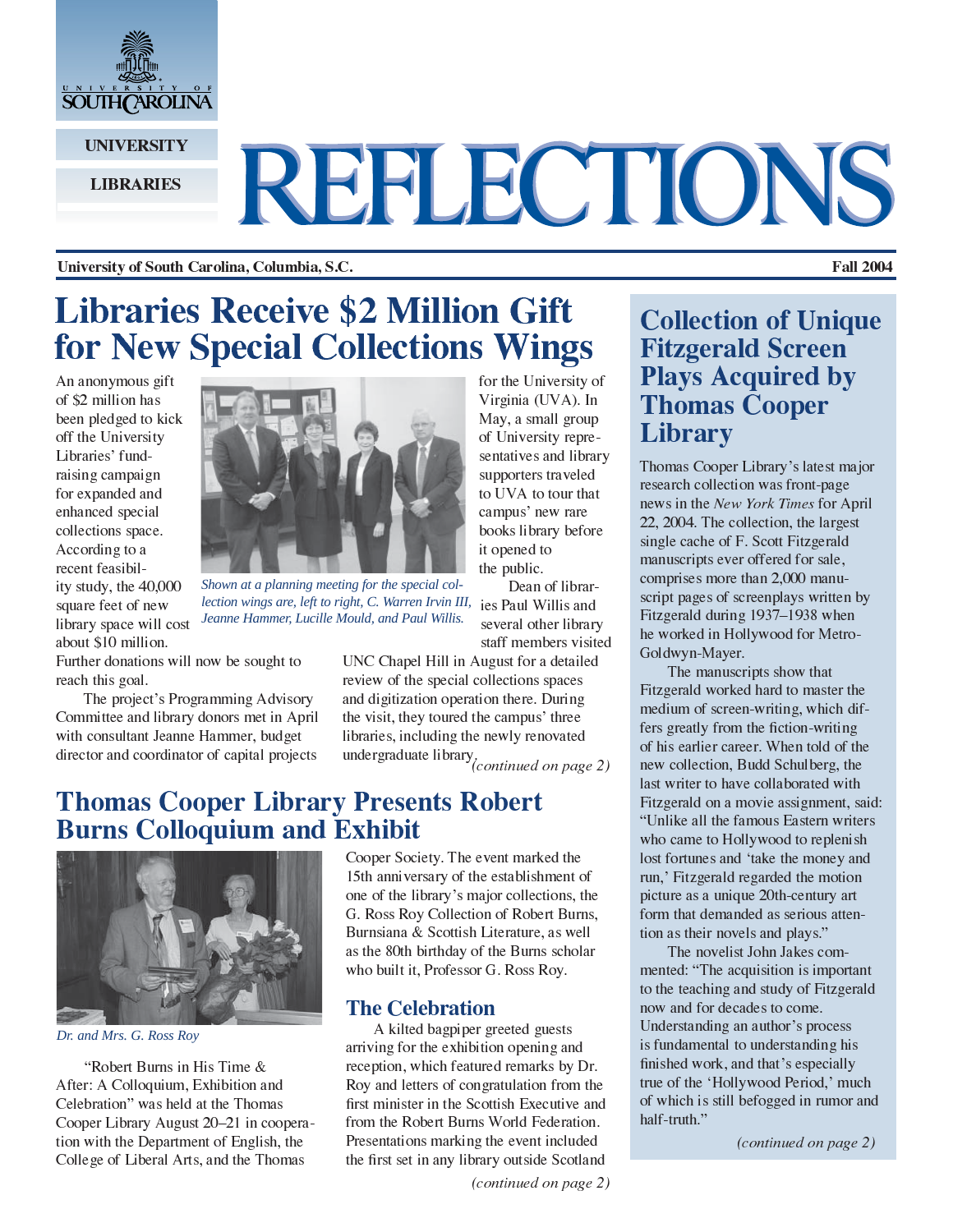

**UNIVERSITY** 

#### **LIBRARIES**

# REFLECTIONS

University of South Carolina, Columbia, S.C.

# **Libraries Receive \$2 Million Gift** for New Special Collections Wings

An anonymous gift of \$2 million has been pledged to kick off the University Libraries' fundraising campaign for expanded and enhanced special collections space. According to a recent feasibility study, the 40,000 square feet of new library space will cost about \$10 million.



Shown at a planning meeting for the special collection wings are, left to right, C. Warren Irvin III, Jeanne Hammer, Lucille Mould, and Paul Willis.

Further donations will now be sought to reach this goal.

The project's Programming Advisory Committee and library donors met in April with consultant Jeanne Hammer, budget director and coordinator of capital projects

for the University of Virginia (UVA). In May, a small group of University representatives and library supporters traveled to UVA to tour that campus' new rare books library before it opened to the public.

Dean of libraries Paul Willis and several other library staff members visited

UNC Chapel Hill in August for a detailed review of the special collections spaces and digitization operation there. During the visit, they toured the campus' three libraries, including the newly renovated undergraduate library,<br>(*continued on page 2*)

### **Thomas Cooper Library Presents Robert Burns Colloquium and Exhibit**



Dr. and Mrs. G. Ross Roy

"Robert Burns in His Time & After: A Colloquium, Exhibition and Celebration" was held at the Thomas Cooper Library August 20–21 in cooperation with the Department of English, the College of Liberal Arts, and the Thomas

Cooper Society. The event marked the 15th anniversary of the establishment of one of the library's major collections, the G. Ross Roy Collection of Robert Burns, Burnsiana & Scottish Literature, as well as the 80th birthday of the Burns scholar who built it, Professor G. Ross Roy.

#### **The Celebration**

A kilted bagpiper greeted guests arriving for the exhibition opening and reception, which featured remarks by Dr. Roy and letters of congratulation from the first minister in the Scottish Executive and from the Robert Burns World Federation. Presentations marking the event included the first set in any library outside Scotland

(continued on page 2)

### **Collection of Unique Fitzgerald Screen Plays Acquired by Thomas Cooper Library**

Thomas Cooper Library's latest major research collection was front-page news in the New York Times for April 22, 2004. The collection, the largest single cache of F. Scott Fitzgerald manuscripts ever offered for sale, comprises more than 2,000 manuscript pages of screenplays written by Fitzgerald during 1937-1938 when he worked in Hollywood for Metro-Goldwyn-Mayer.

The manuscripts show that Fitzgerald worked hard to master the medium of screen-writing, which differs greatly from the fiction-writing of his earlier career. When told of the new collection, Budd Schulberg, the last writer to have collaborated with Fitzgerald on a movie assignment, said: "Unlike all the famous Eastern writers who came to Hollywood to replenish lost fortunes and 'take the money and run,' Fitzgerald regarded the motion picture as a unique 20th-century art form that demanded as serious attention as their novels and plays."

The novelist John Jakes commented: "The acquisition is important to the teaching and study of Fitzgerald now and for decades to come. Understanding an author's process is fundamental to understanding his finished work, and that's especially true of the 'Hollywood Period,' much of which is still befogged in rumor and half-truth."

(continued on page 2)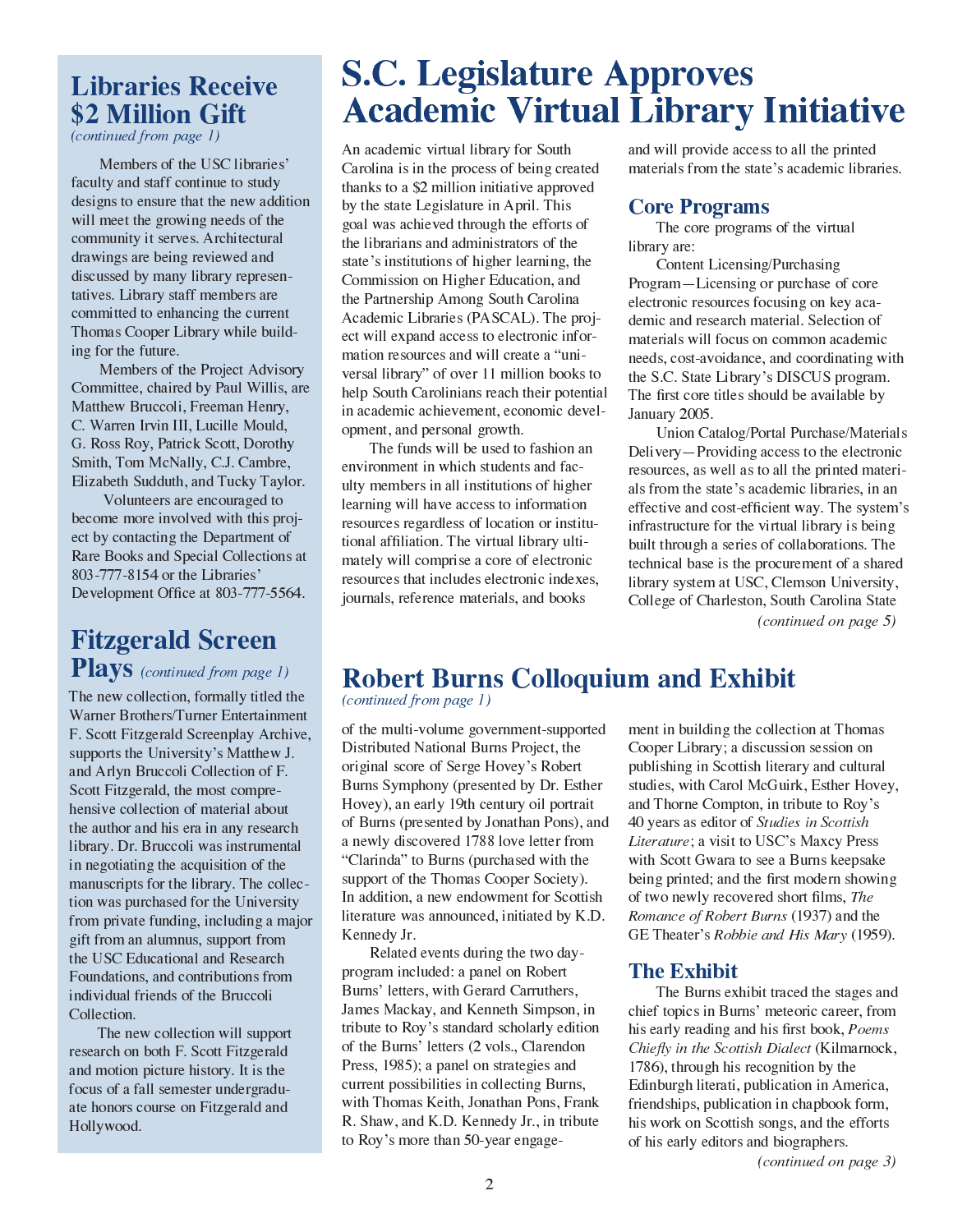### **Libraries Receive** \$2 Million Gift

 $(continued from page I)$ 

Members of the USC libraries' faculty and staff continue to study designs to ensure that the new addition will meet the growing needs of the community it serves. Architectural drawings are being reviewed and discussed by many library representatives. Library staff members are committed to enhancing the current Thomas Cooper Library while building for the future.

Members of the Project Advisory Committee, chaired by Paul Willis, are Matthew Bruccoli, Freeman Henry, C. Warren Irvin III, Lucille Mould, G. Ross Roy, Patrick Scott, Dorothy Smith, Tom McNally, C.J. Cambre, Elizabeth Sudduth, and Tucky Taylor.

Volunteers are encouraged to become more involved with this project by contacting the Department of Rare Books and Special Collections at 803-777-8154 or the Libraries' Development Office at 803-777-5564.

### **Fitzgerald Screen Plays** (continued from page 1)

The new collection, formally titled the Warner Brothers/Turner Entertainment F. Scott Fitzgerald Screenplay Archive, supports the University's Matthew J. and Arlyn Bruccoli Collection of F. Scott Fitzgerald, the most comprehensive collection of material about the author and his era in any research library. Dr. Bruccoli was instrumental in negotiating the acquisition of the manuscripts for the library. The collection was purchased for the University from private funding, including a major gift from an alumnus, support from the USC Educational and Research Foundations, and contributions from individual friends of the Bruccoli Collection.

The new collection will support research on both F. Scott Fitzgerald and motion picture history. It is the focus of a fall semester undergraduate honors course on Fitzgerald and Hollywood.

# **S.C. Legislature Approves Academic Virtual Library Initiative**

An academic virtual library for South Carolina is in the process of being created thanks to a \$2 million initiative approved by the state Legislature in April. This goal was achieved through the efforts of the librarians and administrators of the state's institutions of higher learning, the Commission on Higher Education, and the Partnership Among South Carolina Academic Libraries (PASCAL). The project will expand access to electronic information resources and will create a "universal library" of over 11 million books to help South Carolinians reach their potential in academic achievement, economic development, and personal growth.

The funds will be used to fashion an environment in which students and faculty members in all institutions of higher learning will have access to information resources regardless of location or institutional affiliation. The virtual library ultimately will comprise a core of electronic resources that includes electronic indexes, journals, reference materials, and books

and will provide access to all the printed materials from the state's academic libraries.

#### **Core Programs**

The core programs of the virtual library are:

Content Licensing/Purchasing Program-Licensing or purchase of core electronic resources focusing on key academic and research material. Selection of materials will focus on common academic needs, cost-avoidance, and coordinating with the S.C. State Library's DISCUS program. The first core titles should be available by January 2005.

Union Catalog/Portal Purchase/Materials Delivery – Providing access to the electronic resources, as well as to all the printed materials from the state's academic libraries, in an effective and cost-efficient way. The system's infrastructure for the virtual library is being built through a series of collaborations. The technical base is the procurement of a shared library system at USC, Clemson University, College of Charleston, South Carolina State  $(continued on page 5)$ 

### **Robert Burns Colloquium and Exhibit**

(continued from page 1)

of the multi-volume government-supported Distributed National Burns Project, the original score of Serge Hovey's Robert Burns Symphony (presented by Dr. Esther Hovey), an early 19th century oil portrait of Burns (presented by Jonathan Pons), and a newly discovered 1788 love letter from "Clarinda" to Burns (purchased with the support of the Thomas Cooper Society). In addition, a new endowment for Scottish literature was announced, initiated by K.D. Kennedy Jr.

Related events during the two dayprogram included: a panel on Robert Burns' letters, with Gerard Carruthers, James Mackay, and Kenneth Simpson, in tribute to Roy's standard scholarly edition of the Burns' letters (2 vols., Clarendon Press, 1985); a panel on strategies and current possibilities in collecting Burns, with Thomas Keith, Jonathan Pons, Frank R. Shaw, and K.D. Kennedy Jr., in tribute to Roy's more than 50-year engagement in building the collection at Thomas Cooper Library; a discussion session on publishing in Scottish literary and cultural studies, with Carol McGuirk, Esther Hovey, and Thorne Compton, in tribute to Roy's 40 years as editor of Studies in Scottish Literature; a visit to USC's Maxcy Press with Scott Gwara to see a Burns keepsake being printed; and the first modern showing of two newly recovered short films, The Romance of Robert Burns (1937) and the GE Theater's Robbie and His Mary (1959).

### **The Exhibit**

The Burns exhibit traced the stages and chief topics in Burns' meteoric career, from his early reading and his first book, *Poems* Chiefly in the Scottish Dialect (Kilmarnock, 1786), through his recognition by the Edinburgh literati, publication in America, friendships, publication in chapbook form, his work on Scottish songs, and the efforts of his early editors and biographers.

(continued on page 3)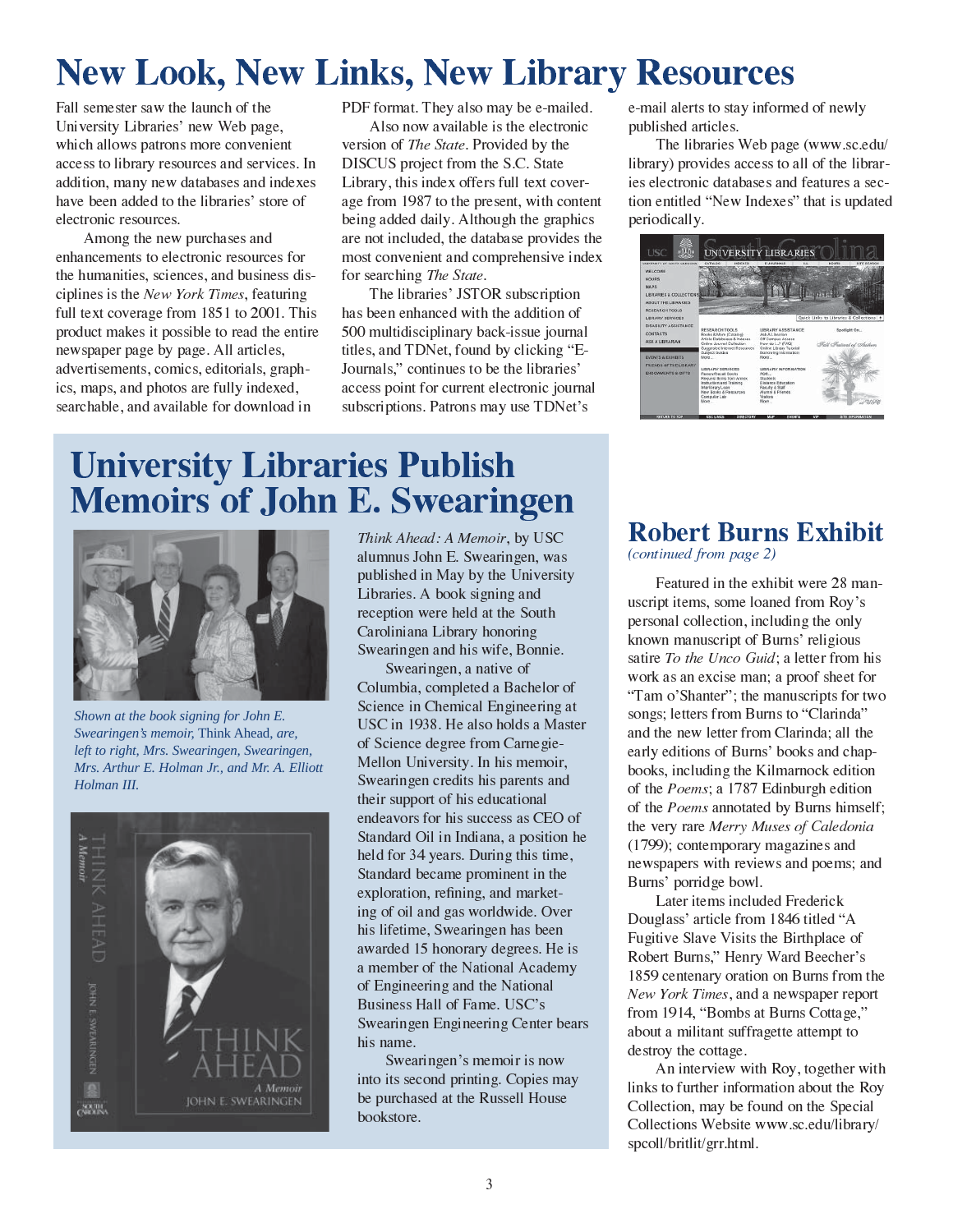# **New Look, New Links, New Library Resources**

Fall semester saw the launch of the University Libraries' new Web page, which allows patrons more convenient access to library resources and services. In addition, many new databases and indexes have been added to the libraries' store of electronic resources.

Among the new purchases and enhancements to electronic resources for the humanities, sciences, and business disciplines is the New York Times, featuring full text coverage from 1851 to 2001. This product makes it possible to read the entire newspaper page by page. All articles, advertisements, comics, editorials, graphics, maps, and photos are fully indexed, searchable, and available for download in

PDF format. They also may be e-mailed.

Also now available is the electronic version of The State. Provided by the DISCUS project from the S.C. State Library, this index offers full text coverage from 1987 to the present, with content being added daily. Although the graphics are not included, the database provides the most convenient and comprehensive index for searching The State.

The libraries' JSTOR subscription has been enhanced with the addition of 500 multidisciplinary back-issue journal titles, and TDNet, found by clicking "E-Journals," continues to be the libraries' access point for current electronic journal subscriptions. Patrons may use TDNet's

e-mail alerts to stay informed of newly published articles.

The libraries Web page (www.sc.edu/ library) provides access to all of the libraries electronic databases and features a section entitled "New Indexes" that is updated periodically.



# **University Libraries Publish Memoirs of John E. Swearingen**



Shown at the book signing for John E. Swearingen's memoir, Think Ahead, are, left to right, Mrs. Swearingen, Swearingen, Mrs. Arthur E. Holman Jr., and Mr. A. Elliott Holman III.



Think Ahead: A Memoir, by USC alumnus John E. Swearingen, was published in May by the University Libraries. A book signing and reception were held at the South Caroliniana Library honoring Swearingen and his wife, Bonnie.

Swearingen, a native of Columbia, completed a Bachelor of Science in Chemical Engineering at USC in 1938. He also holds a Master of Science degree from Carnegie-Mellon University. In his memoir, Swearingen credits his parents and their support of his educational endeavors for his success as CEO of Standard Oil in Indiana, a position he held for 34 years. During this time, Standard became prominent in the exploration, refining, and marketing of oil and gas worldwide. Over his lifetime, Swearingen has been awarded 15 honorary degrees. He is a member of the National Academy of Engineering and the National Business Hall of Fame. USC's Swearingen Engineering Center bears his name.

Swearingen's memoir is now into its second printing. Copies may be purchased at the Russell House bookstore.

### **Robert Burns Exhibit**

(continued from page 2)

Featured in the exhibit were 28 manuscript items, some loaned from Roy's personal collection, including the only known manuscript of Burns' religious satire To the Unco Guid; a letter from his work as an excise man; a proof sheet for "Tam o'Shanter"; the manuscripts for two songs; letters from Burns to "Clarinda" and the new letter from Clarinda; all the early editions of Burns' books and chapbooks, including the Kilmarnock edition of the *Poems*; a 1787 Edinburgh edition of the *Poems* annotated by Burns himself; the very rare Merry Muses of Caledonia (1799); contemporary magazines and newspapers with reviews and poems; and Burns' porridge bowl.

Later items included Frederick Douglass' article from 1846 titled "A Fugitive Slave Visits the Birthplace of Robert Burns," Henry Ward Beecher's 1859 centenary oration on Burns from the New York Times, and a newspaper report from 1914, "Bombs at Burns Cottage," about a militant suffragette attempt to destroy the cottage.

An interview with Roy, together with links to further information about the Roy Collection, may be found on the Special Collections Website www.sc.edu/library/ speoll/britlit/grr.html.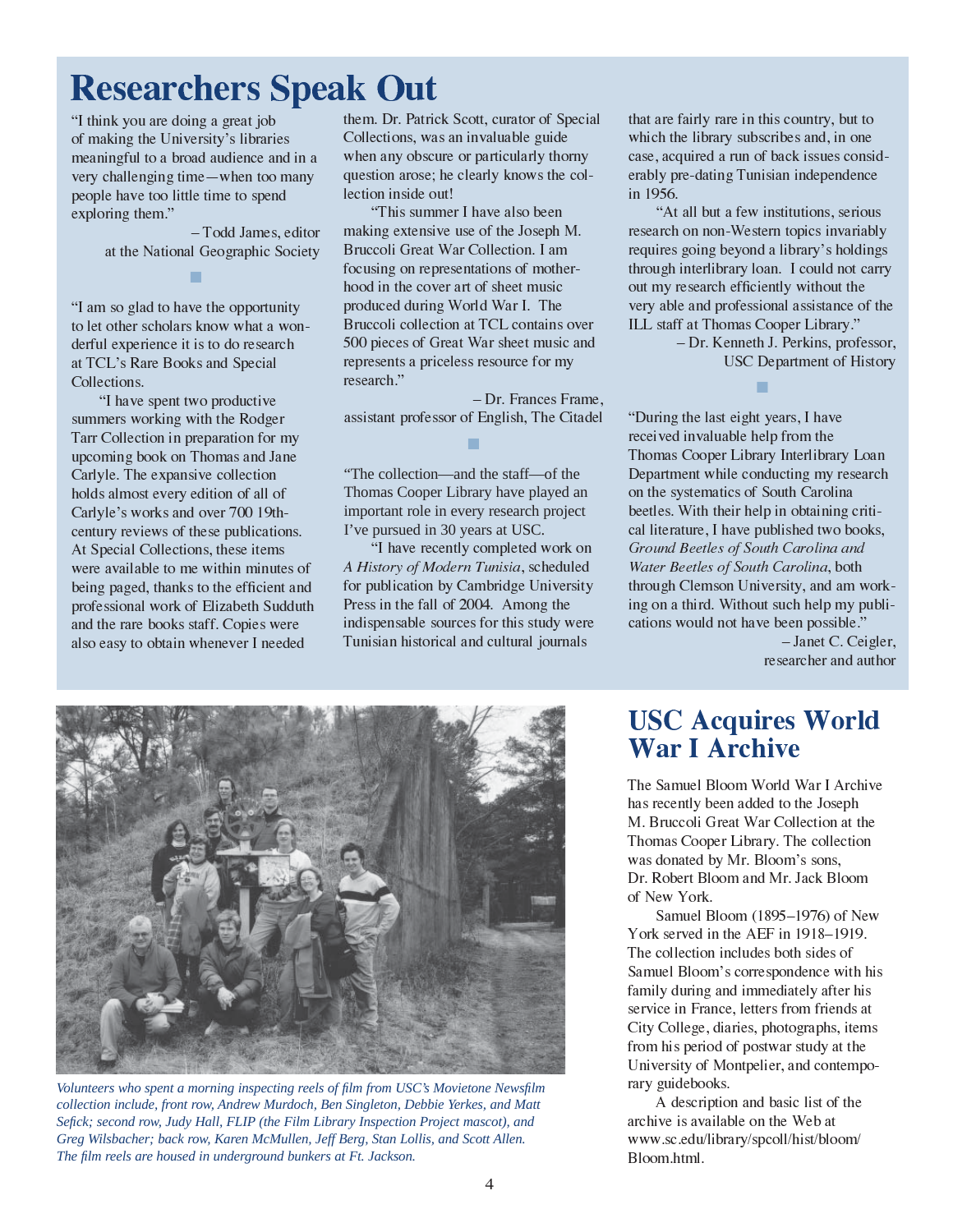# **Researchers Speak Out**

"I think you are doing a great job

■

Collections, was an invaluable guide when any obscure or particularly thorny question arose; he clearly knows the collection inside out!

col-<br>M.<br>over and<br>itad<br>itad<br>itad<br>ect on<br>ect on<br>pled were<br>als er and model in a final state of the state of the state of the state of the state of the state of the state of the state of the state of the state of the state of the state of the state of the state of the state of the sta "This summer I have also been making extensive use of the Joseph M. Bruccoli Great War Collection. I am focusing on representations of motherhood in the cover art of sheet music produced during World War I. The Bruccoli collection at TCL contains over 500 pieces of Great War sheet music and represents a priceless resource for my research."

- Dr. Frances Frame. assistant professor of English, The Citadel ■

"The collection—and the staff—of the Thomas Cooper Library have played an important role in every research project I've pursued in 30 years at USC.

and<br>ame<br>tade<br>e<br>con<br>ed<br>sity<br>rere "I have recently completed work on d<br>d<br>re<br>s A History of M for publication by Cambridge University Press in the fall of 2004. Among the indispensable sources for this study were Tunisian historical and cultural journals

that are fairly rare in this country, but to which the library subscribes and, in one case, acquired a run of back issues consid-

■

 insince iou iab din can insince e din can insince e din can insince e din can insince e din can insince e din can insince e din can insince a la din can insince a la din can insince e din can insince e din can be din can b the controller of the second terms of the second interaction of the second interaction of the second arch publical controller and the pole of the second second interaction of the second second interaction of the second sec in 1956.<br>
"At all bu a few institutions, serious<br>
"At all bu a few institutions, serious<br>
"At all bu a few institutions, serious<br>
research on non-Western topics invariably<br>
requires going beyond a library's holding<br>
requir " At a<br>"At a<br>"At a<br>"At a<br>"At a<br>"At a<br>"At a<br>"At a<br>"At a<br>"At a<br>"At a<br>"At a<br>"At a<br>"And a<br>"Now I wery able ILL staff"<br>"During t<br>"Departme received in Thomas (<br>Departme by beetles. Water Been and B water Been and B water Been a bly mess of the second relationships are the second the second of the second of the second of the second of the second of the second of the second of the second of the second of the second of the second of the second of th Frameword School<br>Trany's holdings<br>could not carry<br>without the<br>sesistance of the<br>Library."<br>This, professor<br>ment of History<br>ment of History<br>,<br>,<br>I have mumiple are elibrary Loan<br>ng my research<br>Carolina<br>bataining criti-<br>eld tw and the carry<br>the soft the carry<br>the soft the of the carry<br>he soft thistory<br>History<br>Loan<br>search criti-<br>chive e."<br>Ceigler<br>chive e."<br>Ceigler<br>chive the chive he soft the chive he soft the binds<br>19.<br>The soft the binds of the b and the controller of the state of the state of the state of the state of the state of the controller and the controller and the state of the state of the state of the state of the state of the state of the state of the st arvaline<br>ary."<br>profe:<br>of His<br>ve<br>of His<br>ve<br>of His<br>ve<br>comparable."<br>comparable."<br>C. Cei<br>and a and both m w puble."<br>C. Cei<br>and at and at **Orle**<br>Archi<br>seph nat the decisor of Ne<br>with 1919.<br>sof Ne<br>with 1919.<br>sof Ne<br>with 1919.<br>so Princessing, Derkins, profer<br>Perkins, profer<br>Perkins, profer<br>artment of His<br>ars, I have<br>from the<br>Interlibrary Lo<br>cting my resea<br>uth Carolina and<br>index to boo<br>Carolina and<br>arise ished who boo<br>Carolina and<br>arise in the prope  $\zeta$ <br> $\zeta$ <br> $\zeta$ <br> $\zeta$ <br> $\zeta$ <br> $\zeta$ <br> $\zeta$ <br> $\zeta$ <br> $\zeta$ USC Department of<br>
t eight years, I have<br>
t eight years, I have<br>
able help from the<br>
r Library Interlibrar<br>
ile conducting my r<br>
ics of South Carolin<br>
ieir help in obtainin<br>
of South Carolina, b<br>
of South Carolina, b<br>
f So L<br>h<br>k-<br>ii-<br>er, or The library<br>
in the library<br>
my rearoling<br>
aining<br>
aining<br>
aining<br>
divideo and and and promosib<br>
met C. and and promosible<br>
and and and and and and and and all<br>
collects ons,<br>
collects ons,<br>
76) of<br>
18–19<br>
ides once with a erlibra<br>g my<br>Caroli<br>btainir<br>ed twc<br>btainired twc<br>rolina, 1<br>olina, 1<br>olina, 1<br>olina, 1<br>olina, 1<br>olina, 1<br>olina, 1<br>olina, 1<br>olina, 1<br>olina in possi<br>anet C<br>cher a<br>colle colle colle solina is sons<br>ack B<br>976) of 918-1<br>olina is rch ti-ks, ork gle the development of the second weak is a second of the second control of the second weak is a second of the second second to the second second second second second second second second second second secon Ground Beetles of South Carolina and<br>Water Beetles of South Carolina, both

**USC Acquires World War I Archive** 

The Samuel Blo<br>has recently bee.<br>M. Bruccoli Gre<br>Thomas Cooper<br>was donated by<br>Dr. Robert Bloo<br>of New York.<br>Samuel Bloo<br>York served in the Collection is<br>family during an<br>service in Franc<br>City College, dia<br>from his period Un seph<br>n at the<br>lection<br>ns,<br>allection<br>of New<br>of New<br>nf iter his<br>fter his<br>ends at<br>at the sends at<br>at the mempo-<br>of the<br>the the when<br>the displane of the<br>the the composite in the composite in the composite in the composite in t represented to a set of N<br>n at the decide s,<br>Sloor of N<br>1919 s of with the neds is, iterative that the mediate s are the top of the t Fraction<br>Inction<br>S. Bloom<br>of New<br>1919.<br>S. of<br>with his<br>fter his<br>at the antempo-<br>of the<br>t<br>t com/ - a evhistat ns book and the social control of the social control of the social control of the social control of the social control of the social control of the social control of the social control of the social control of  $B(c)$  of  $-19$  escovering the set of  $\frac{1}{10}$  at of  $\frac{1}{10}$  at bloom Nev<br>9. his at<br>empc<br>e / II Bl<br>d in<br>ion<br>mg a<br>France, d<br>France, dof Nook<br>rript<br>wail<br>u/lit<br>l. Samuel Blo<br>
Samuel Blo<br>
collection in<br>
uel Bloom's<br>
ly during an<br>
ce in France<br>
College, dia<br>
his period<br>
versity of Me<br>
guidebooks<br>
A descriptic<br>
ve is availa<br>
v.sc.edu/libr<br>
m.html. 919.<br>of ith his<br>of ith his<br>r his<br>ds at<br>items<br>the empo-<br>the<br>pom/ e collection includes both sides of<br>e collection includes both sides of<br>muel Bloom's correspondence with h<br>nily during and immediately after his<br>vice in France, letters from friends at<br>y College, diaries, photographs, item the distribution of the distribution of the control of the control of the control of the control of the control of the control of the control of the control of the control of the control of the control of the control of th Samuel Blo<br>Family durin<br>Service in F<br>City Colleg<br>From his per<br>University cary guidebo<br>A descrachive is a<br>www.sc.edu<br>Bloom.html ately after his<br>tographs, items<br>r study at the<br>and contempo-<br>sic list of the<br>Web at<br>list/bloom/ service in France, letters from friends at<br>Service in France, letters from friends at<br>City College, diaries, photographs, items<br>from his period of postwar study at the<br>University of Montpelier, and contempo<br>rary guidebooks Frame the state of the state of the Veb at the Veb at the Veb at the Veb at the Veb and the Veb at the Veb and the Veb and the vertical vehicles of the state of the state of the state of the state of the state of the state South Carolina<br>
South Carolina<br>
elp in obtaining criti-<br>
published two books,<br> *uth Carolina and*<br> *th Carolina*, both<br>
iversity, and am work<br>
ut such help my publi-<br>
ve been possible."<br>
- Janet C. Ceigler<br>
researcher and f So<br>elp i pub<br>*outh (Cerpub)*<br>*outh (Cerpub)*<br>*s* respective of the contrary.<br>Blood Var (189)<br>Marrary.<br>Blood Var (189)<br>MEF the self despective of the self of the self of the self of the self of the self of the self of the ing co botan<br>
ing co botan<br>
ing co botan<br>
ing sible<br>
ing sible<br>
ing sible<br>
ing sible<br>
of Natural Sanction<br>
ing the signal of Natural Sanction<br>
ing the signal Sanction<br>
ing the signal Sanction<br>
internals<br>
internals<br>
interna ed two books<br>rolina and<br>plina, both<br>olina, both<br>olina, both<br>ing my pub<br>ing met C. Ceigle<br>cher and auth<br>cher and auth<br>oling the Joseph<br>ection at the<br>effection at the<br>effection at the<br>effection at the<br>ing sons,<br>lack Bloom<br>97 vork<br>whistless of the control of the control of the control of the control of the control of the control of the control of the control of the control of the control of the control of the control of the control of the contr Water Beetles of South Carolina, bothrough Clemson University, and an<br>
ing on a third. Without such help my<br>
cations would not have been possible<br>
researcher and<br>
researcher and<br>
researcher and<br> **USC Acquires Woll**<br> **War I**  bli-ler,<br>hor<br>ce we been possible."<br>
- Janet C. Ceigler,<br>
- Janet C. Ceigler,<br>
researcher and author<br> **ires World**<br>
Mive<br>
World War I Archive<br>
led to the Joseph<br>
far Collection at the<br>
ary. The collection<br>
Bloom's sons,<br>
d Mr. Jack Bloom<br> Fractionary<br>
The C. Cei<br>
The C. Cei<br>
The C. Cei<br>
The Cei<br>
Supplement of Ne<br>
Supplement<br>
Supplement<br>
Supplement<br>
Supplement<br>
Supplement<br>
Supplement<br>
Supplement<br>
Supplement<br>
Supplement<br>
Supplement<br>
Supplement<br>
Supplement<br>
Su earcher and author<br>earcher and author<br>**SECONCICE**<br>of the Joseph<br>Collection at the<br>The collection at the<br>The collection<br>m's sons,<br>r. Jack Bloom<br>n 1918–1919.<br>oth sides of<br>ondence with his<br>liately after his<br>from friends at<br>to

study at the<br>study at the<br>nd contempo-<br>list of the<br>Web at<br>ist/bloom/ the transposition<br>d basic list of the<br>n the Web at<br>pcoll/hist/bloom/ ----<br>ptio<br>ilal<br>ibra  $\frac{1}{2}$ proll/hist/block<br>proll/hist/block



*Volunteers who spent a morning inspecting reels of film from USC's Movietone Newsfilm collection include, front row, Andrew Murdoch, Ben Singleton, Debbie Yerkes, and Matt*  Sefick; second row, Judy Hall, FLIP (the Film Library Inspection Project mascot), and *Greg Wilsbacher; back row, Karen McMullen, Jeff Berg, Stan Lollis, and Scott Allen. The fi lm reels are housed in underground bunkers at Ft. Jackson.*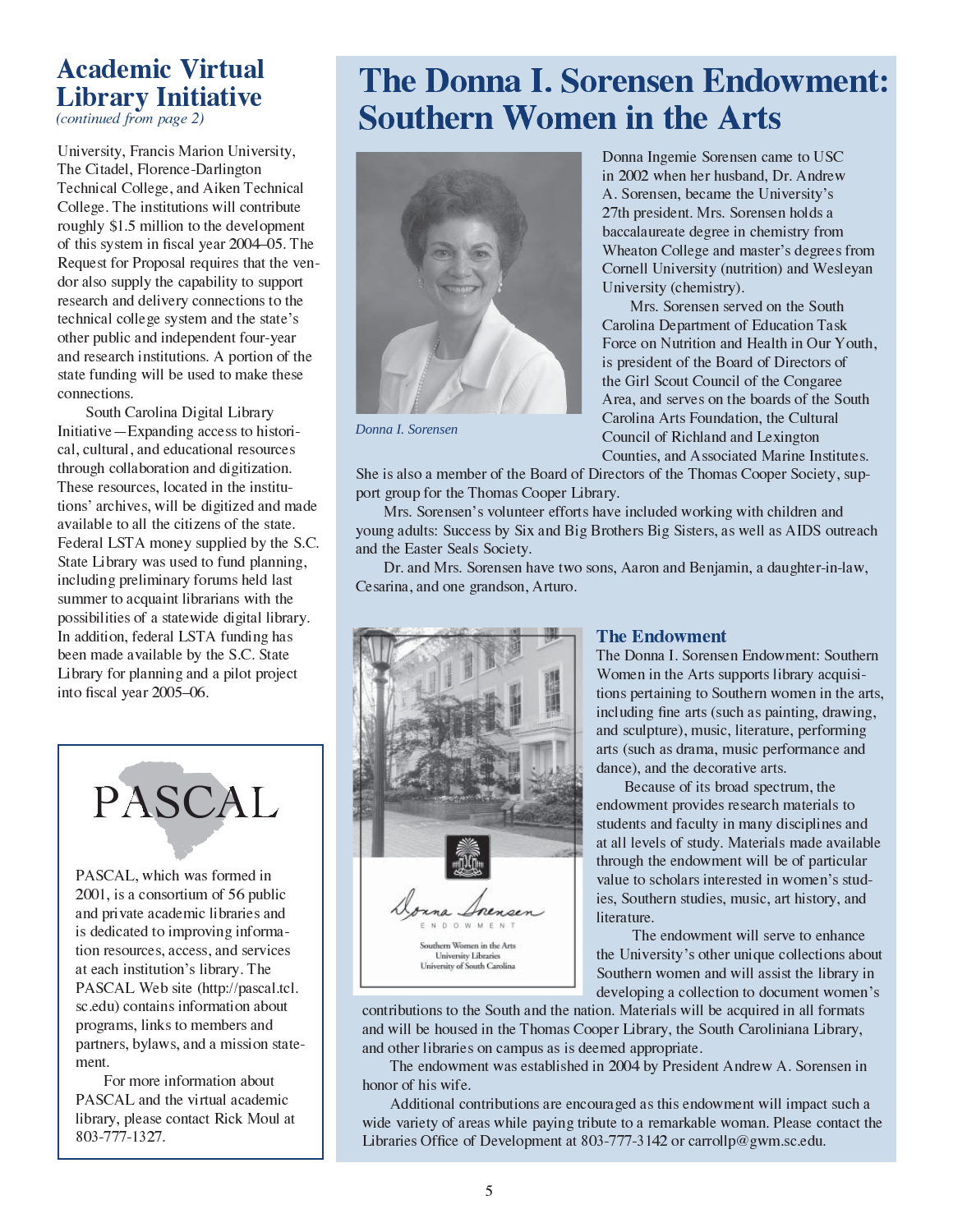### **Academic Virtual Library Initiative**

(continued from page 2)

University, Francis Marion University, The Citadel, Florence-Darlington Technical College, and Aiken Technical College. The institutions will contribute roughly \$1.5 million to the development of this system in fiscal year 2004–05. The Request for Proposal requires that the vendor also supply the capability to support research and delivery connections to the technical college system and the state's other public and independent four-year and research institutions. A portion of the state funding will be used to make these connections.

South Carolina Digital Library Initiative — Expanding access to historical, cultural, and educational resources through collaboration and digitization. These resources, located in the institutions' archives, will be digitized and made available to all the citizens of the state. Federal LSTA money supplied by the S.C. State Library was used to fund planning, including preliminary forums held last summer to acquaint librarians with the possibilities of a statewide digital library. In addition, federal LSTA funding has been made available by the S.C. State Library for planning and a pilot project into fiscal year 2005-06.



PASCAL, which was formed in 2001, is a consortium of 56 public and private academic libraries and is dedicated to improving information resources, access, and services at each institution's library. The PASCAL Web site (http://pascal.tcl. sc.edu) contains information about programs, links to members and partners, bylaws, and a mission statement.

For more information about PASCAL and the virtual academic library, please contact Rick Moul at 803-777-1327.

# **The Donna I. Sorensen Endowment: Southern Women in the Arts**



Donna I. Sorensen

Donna Ingemie Sorensen came to USC in 2002 when her husband, Dr. Andrew A. Sorensen, became the University's 27th president. Mrs. Sorensen holds a baccalaureate degree in chemistry from Wheaton College and master's degrees from Cornell University (nutrition) and Wesleyan University (chemistry).

Mrs. Sorensen served on the South Carolina Department of Education Task Force on Nutrition and Health in Our Youth, is president of the Board of Directors of the Girl Scout Council of the Congaree Area, and serves on the boards of the South Carolina Arts Foundation, the Cultural Council of Richland and Lexington Counties, and Associated Marine Institutes.

She is also a member of the Board of Directors of the Thomas Cooper Society, support group for the Thomas Cooper Library.

Mrs. Sorensen's volunteer efforts have included working with children and young adults: Success by Six and Big Brothers Big Sisters, as well as AIDS outreach and the Easter Seals Society.

Dr. and Mrs. Sorensen have two sons, Aaron and Benjamin, a daughter-in-law, Cesarina, and one grandson, Arturo.



#### **The Endowment**

The Donna I. Sorensen Endowment: Southern Women in the Arts supports library acquisitions pertaining to Southern women in the arts, including fine arts (such as painting, drawing, and sculpture), music, literature, performing arts (such as drama, music performance and dance), and the decorative arts.

Because of its broad spectrum, the endowment provides research materials to students and faculty in many disciplines and at all levels of study. Materials made available through the endowment will be of particular value to scholars interested in women's studies, Southern studies, music, art history, and literature.

The endowment will serve to enhance the University's other unique collections about Southern women and will assist the library in developing a collection to document women's

contributions to the South and the nation. Materials will be acquired in all formats and will be housed in the Thomas Cooper Library, the South Caroliniana Library, and other libraries on campus as is deemed appropriate.

The endowment was established in 2004 by President Andrew A. Sorensen in honor of his wife.

Additional contributions are encouraged as this endowment will impact such a wide variety of areas while paying tribute to a remarkable woman. Please contact the Libraries Office of Development at 803-777-3142 or carrollp@gwm.sc.edu.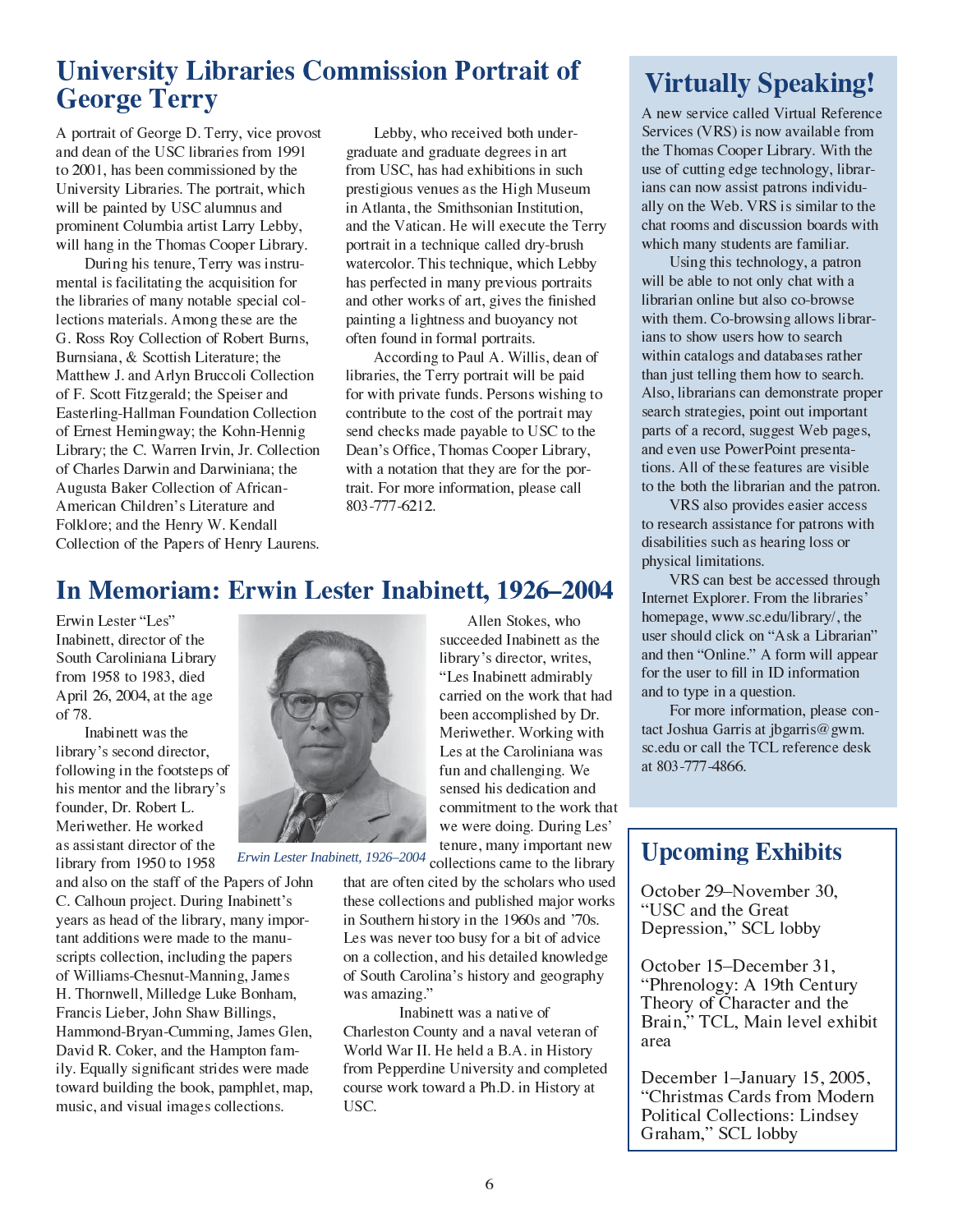### **University Libraries Commission Portrait of George Terry**

A portrait of George D. Terry, vice provost and dean of the USC libraries from 1991 to 2001, has been commissioned by the University Libraries. The portrait, which will be painted by USC alumnus and prominent Columbia artist Larry Lebby, will hang in the Thomas Cooper Library.

During his tenure, Terry was instrumental is facilitating the acquisition for the libraries of many notable special collections materials. Among these are the G. Ross Roy Collection of Robert Burns, Burnsiana, & Scottish Literature; the Matthew J. and Arlyn Bruccoli Collection of F. Scott Fitzgerald; the Speiser and Easterling-Hallman Foundation Collection of Ernest Hemingway; the Kohn-Hennig Library; the C. Warren Irvin, Jr. Collection of Charles Darwin and Darwiniana; the Augusta Baker Collection of African-American Children's Literature and Folklore; and the Henry W. Kendall Collection of the Papers of Henry Laurens.

Lebby, who received both undergraduate and graduate degrees in art from USC, has had exhibitions in such prestigious venues as the High Museum in Atlanta, the Smithsonian Institution, and the Vatican. He will execute the Terry portrait in a technique called dry-brush watercolor. This technique, which Lebby has perfected in many previous portraits and other works of art, gives the finished painting a lightness and buoyancy not often found in formal portraits.

According to Paul A. Willis, dean of libraries, the Terry portrait will be paid for with private funds. Persons wishing to contribute to the cost of the portrait may send checks made payable to USC to the Dean's Office, Thomas Cooper Library, with a notation that they are for the portrait. For more information, please call 803-777-6212.

Allen Stokes, who

### **In Memoriam: Erwin Lester Inabinett, 1926–2004**

Erwin Lester "Les" Inabinett, director of the South Caroliniana Library from 1958 to 1983, died April 26, 2004, at the age of 78.

Inabinett was the library's second director, following in the footsteps of his mentor and the library's founder, Dr. Robert L. Meriwether. He worked as assistant director of the library from 1950 to 1958

and also on the staff of the Papers of John C. Calhoun project. During Inabinett's years as head of the library, many important additions were made to the manuscripts collection, including the papers of Williams-Chesnut-Manning, James H. Thornwell, Milledge Luke Bonham, Francis Lieber, John Shaw Billings, Hammond-Bryan-Cumming, James Glen, David R. Coker, and the Hampton family. Equally significant strides were made toward building the book, pamphlet, map, music, and visual images collections.



Erwin Lester Inabinett, 1926–2004 collections came to the library

that are often cited by the scholars who used these collections and published major works in Southern history in the 1960s and '70s. Les was never too busy for a bit of advice on a collection, and his detailed knowledge of South Carolina's history and geography was amazing."

Inabinett was a native of Charleston County and a naval veteran of World War II. He held a B.A. in History from Pepperdine University and completed course work toward a Ph.D. in History at USC.

## **Virtually Speaking!**

A new service called Virtual Reference Services (VRS) is now available from the Thomas Cooper Library. With the use of cutting edge technology, librarians can now assist patrons individually on the Web. VRS is similar to the chat rooms and discussion boards with which many students are familiar.

Using this technology, a patron will be able to not only chat with a librarian online but also co-browse with them. Co-browsing allows librarians to show users how to search within catalogs and databases rather than just telling them how to search. Also, librarians can demonstrate proper search strategies, point out important parts of a record, suggest Web pages, and even use PowerPoint presentations. All of these features are visible to the both the librarian and the patron.

VRS also provides easier access to research assistance for patrons with disabilities such as hearing loss or physical limitations.

VRS can best be accessed through Internet Explorer. From the libraries' homepage, www.sc.edu/library/, the user should click on "Ask a Librarian" and then "Online." A form will appear for the user to fill in ID information and to type in a question.

For more information, please contact Joshua Garris at jbgarris@gwm. sc.edu or call the TCL reference desk at 803-777-4866.

### **Upcoming Exhibits**

October 29–November 30. "USC and the Great Depression," SCL lobby

October 15–December 31, "Phrenology: A 19th Century Theory of Character and the Brain," TCL, Main level exhibit area

December 1-January 15, 2005, "Christmas Cards from Modern **Political Collections: Lindsey** Graham," SCL lobby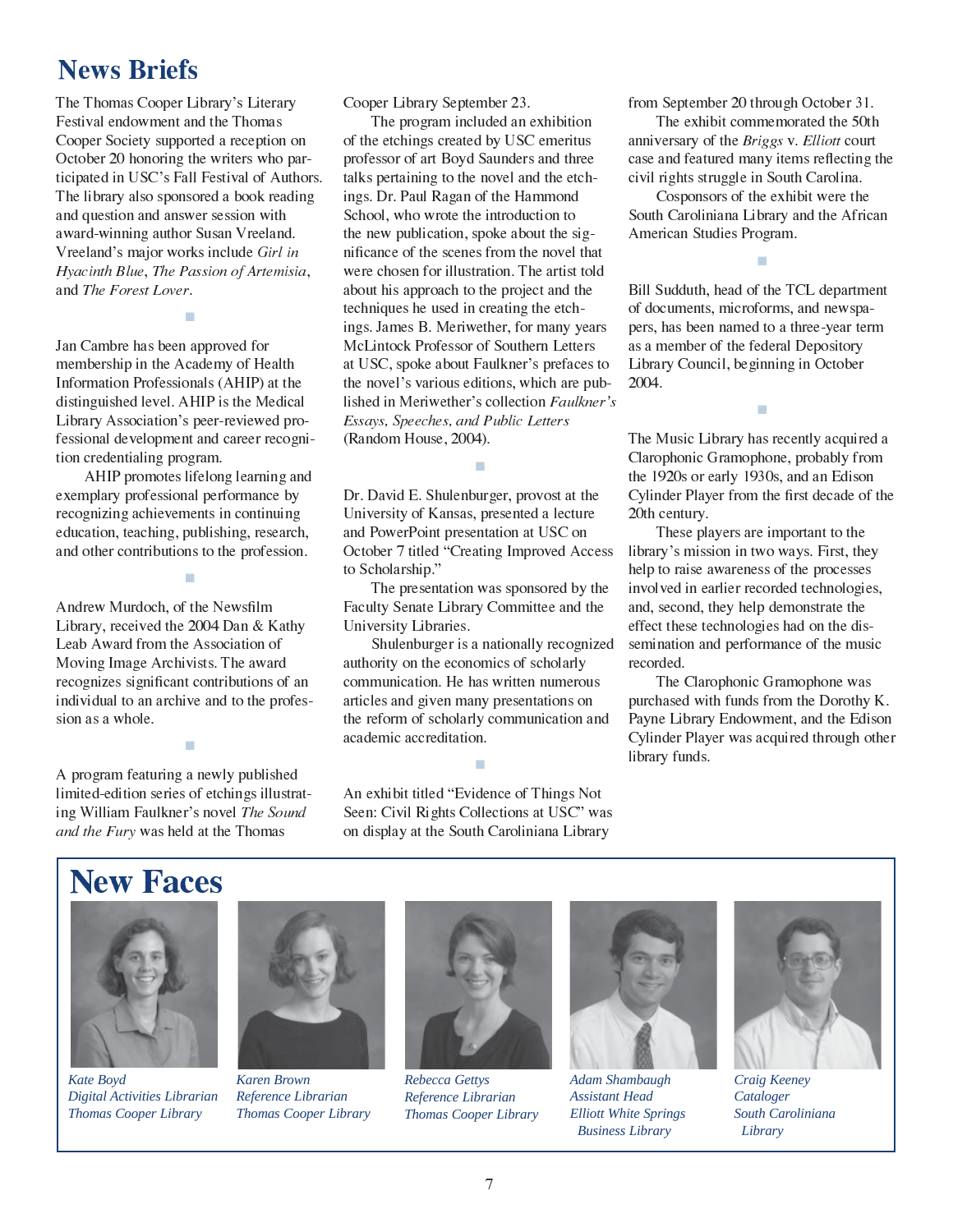### **News Briefs**

The Thomas Cooper Library's Literary Festival endowment and the Thomas Cooper Society supported a reception on October 20 honoring the writers who participated in USC's Fall Festival of Authors. The library also sponsored a book reading and question and answer session with award-winning author Susan Vreeland. Vreeland's major works include Girl in Hyacinth Blue, The Passion of Artemisia, and *The Forest Lover*.

Jan Cambre has been approved for membership in the Academy of Health Information Professionals (AHIP) at the distinguished level. AHIP is the Medical Library Association's peer-reviewed professional development and career recognition credentialing program.

■

AHIP promotes lifelong learning and exemplary professional performance by recognizing achievements in continuing education, teaching, publishing, research education, wavning, publishing, research,<br>and other contributions to the profession.

■

Andrew Murdoch, of the Newsfilm<br>Like 2004 D. a. Library, received the 2004 Dan & Kathy Leab Award from the Association of Moving Image Archivists. The award recognizes significant contributions of an individual to an archive and to the profession as a whole.

A program featuring a newly published limited-edition series of etchings illustrating William Faulkner's novel The Sound and the Fury was held at the Thomas

■

Cooper Library September 23.<br>The program included an ai

The program included an exhibition of the etchings created by USC emeritus professor of art Boyd Saunders and three<br>talks pertaining to the novel and the etch talks pertaining to the novel and the etchings. Dr. Paul Ragan of the Hammond<br>School, who wrote the introduction to School, who wrote the introduction to the new publication, spoke about the sig-<br> $\frac{1}{2}$ nificance of the scenes from the novel that were chosen for illustration. The artist told about his approach to the project and the techniques he used in creating the etchings. James B. Meriwether, for many years<br>MeLintock Professor of Southern Letters McLintock Professor of Southern Letters at USC, spoke about Faulkner's prefaces to the novel's various editions, which are published in Meriwether's collection Faulkner's<br>Essays, Speeches, and Public Letters L∋∍<br>∠n ays, Speeches, and Public Letters<br>ndom House, 2004) (Random House, 2004).

Dr. David E. Shulenburger, provost at the<br>University of Kansas, presented a lecture University of Kansas, presented a lecture and PowerPoint presentation at USC on October 7 titled "Creating Improved Access"<br>to Scholarshin " to Scholarship."<br>The present

■

The presentation was sponsored by the Faculty Senate Library Committee and the University Libraries.

Shulenburger is a nationally recognized authority on the economics of scholarly communication. He has written numerous articles and given many presentations on the reform of scholarly communication and academic accreditation.

An exhibit titled "Evidence of Things Not<br>Seen: Civil Bights Collections at USC" wa Seen: Civil Rights Collections at USC" was<br>on display at the South Caroliniana Library on display at the South Caroliniana Library

■

from September 20 through October 31.<br>The exhibit commemorated the 50th

The exhibit commemorated the 50th<br>versary of the *Briggs y. Elliott* court anniversary of the *Briggs* v. *Elliott* court case and featured many items reflecting the<br>civil rights struggle in South Carolina civil rights struggle in South Carolina.

Cosponsors of the exhibit were the South Caroliniana Library and the African American Studies Program.

■

Bill Sudduth, head of the TCL department<br>of documents, microforms, and newspa of documents, microforms, and newspapers, has been named to a three-year term as a member of the federal Depository Library Council, beginning in October 2004.

The Music Library has recently acquired a Clarophonic Gramophone, probably from<br>the 1920s or early 1930s, and an Edison the 1920s or early 1930s, and an Edison<br>Cylinder Player from the first decade of the Cylinder Player from the first decade of the<br>20th 20th century.

■

These players are important to the library's mission in two ways. First, they help to raise awareness of the processes involved in earlier recorded technologies, and, second, they help demonstrate the effect these technologies had on the dissemination and performance of the music recorded.

The Clarophonic Gramophone was<br>hased with funds from the Dorothy purchased with funds from the Dorothy K. Payne Library Endowment, and the Edison<br>Cylinder Player was acquired through other Cylinder Player was acquired through other<br>Weblate of the state of the Search of the Search of the Search of the Search of the Search of the Search of the Search of the Search of the Search of the Search of the Search of t library funds.

# **New Faces**



*Kate Boyd Digital Activities Librarian Thomas Cooper Library*



*Karen Brown Reference Librarian Thomas Cooper Library*



*Rebecca Gettys Reference Librarian Thomas Cooper Library*



*Adam Shambaugh Assistant Head Elliott White Springs Business Library*



*Craig Keeney Cataloger South Caroliniana Library*